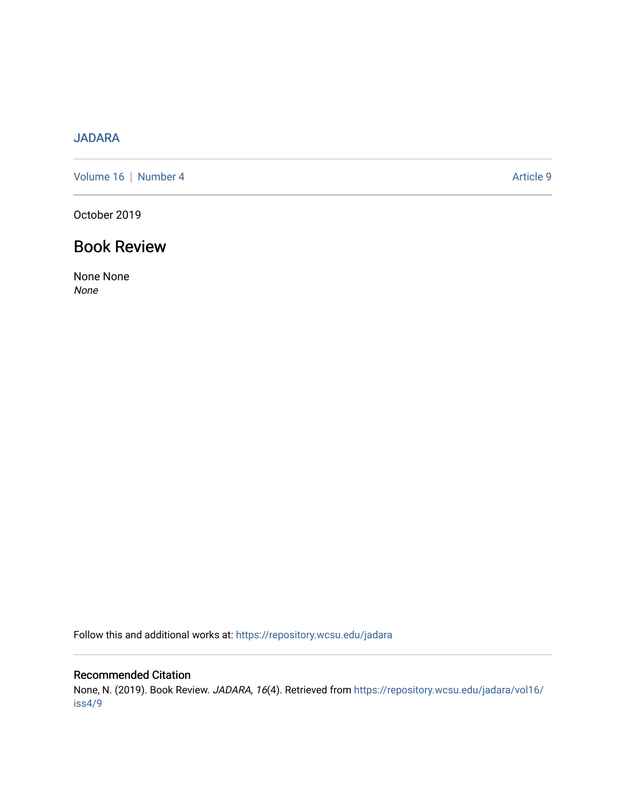## [JADARA](https://repository.wcsu.edu/jadara)

[Volume 16](https://repository.wcsu.edu/jadara/vol16) | [Number 4](https://repository.wcsu.edu/jadara/vol16/iss4) Article 9

October 2019

## Book Review

None None None

Follow this and additional works at: [https://repository.wcsu.edu/jadara](https://repository.wcsu.edu/jadara?utm_source=repository.wcsu.edu%2Fjadara%2Fvol16%2Fiss4%2F9&utm_medium=PDF&utm_campaign=PDFCoverPages)

## Recommended Citation

None, N. (2019). Book Review. JADARA, 16(4). Retrieved from [https://repository.wcsu.edu/jadara/vol16/](https://repository.wcsu.edu/jadara/vol16/iss4/9?utm_source=repository.wcsu.edu%2Fjadara%2Fvol16%2Fiss4%2F9&utm_medium=PDF&utm_campaign=PDFCoverPages) [iss4/9](https://repository.wcsu.edu/jadara/vol16/iss4/9?utm_source=repository.wcsu.edu%2Fjadara%2Fvol16%2Fiss4%2F9&utm_medium=PDF&utm_campaign=PDFCoverPages)